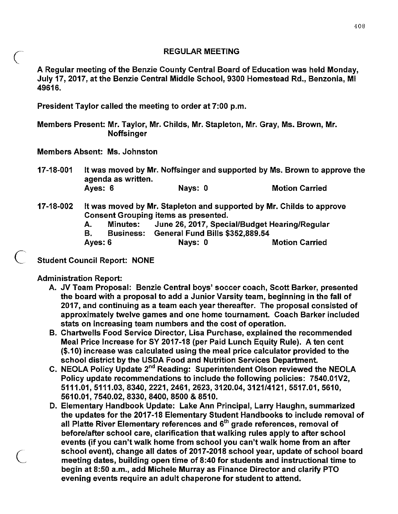## REGULAR MEETING

A Regular meeting of the Benzie County Central Board of Education was held Monday, July 17, 2017, at the Benzie Central Middle School, 9300 Homestead Rd., Benzonia, MI 49616.

President Taylor called the meeting to order at 7:00 p.m.

Members Present: Mr. Taylor, Mr. Childs, Mr. Stapleton, Mr. Gray, Ms. Brown, Mr. **Noffsinger** 

Members Absent: Ms. Johnston

 $\overline{C}$ 

 $(\Box$ 

 $\overline{C}$ 

17-18-001 It was moved by Mr. Noffsinger and supported by Ms. Brown to approve the agenda as written. Ayes: 6 Nays: 0 Motion Carried

## 17-18-002 It was moved by Mr. Stapleton and supported by Mr. Childs to approve Consent Grouping items as presented.

A. Minutes: June 26,2017, Special/Budget Hearing/Regular

B. Business: General Fund Bills \$352,889.54

Ayes: 6 Nays: 0 Nays: 0 Motion Carried

Student Council Report: NONE

Administration Report:

- A. JV Team Proposal: Benzie Central boys' soccer coach, Scott Barker, presented the board with a proposal to add a Junior Varsity team, beginning in the fall of 2017, and continuing as a team each year thereafter. The proposal consisted of approximately twelve games and one home tournament. Coach Barker included stats on increasing team numbers and the cost of operation.
- B. Chartwells Food Service Director, Lisa Purchase, explained the recommended Meal Price Increase for SY 2017-18 (per Paid Lunch Equity Rule). A ten cent (\$.10) increase was calculated using the meal price calculator provided to the school district by the USDA Food and Nutrition Services Department.
- C. NEOLA Policy Update 2<sup>nd</sup> Reading: Superintendent Olson reviewed the NEOLA Policy update recommendations to include the following policies: 7540.01V2, 5111.01,5111.03,8340,2221,2461,2623, 3120.04, 3121/4121, 5517.01, 5610, 5610.01,7540.02,8330,8400,8500 & 8510.
- D. Elementary Handbook Update: Lake Ann Principal, Larry Haughn, summarized the updates for the 2017-18 Elementary Student Handbooks to include removal of all Platte River Elementary references and 6<sup>th</sup> grade references, removal of before/after school care, clarification that walking rules apply to after school events (if you can't walk home from school you can't walk home from an after school event), change all dates of 2017-2018 school year, update of school board meeting dates, building open time of 8:40 for students and instructional time to begin at 8:50 a.m., add Michele Murray as Finance Director and clarify PTO evening events require an adult chaperone for student to attend.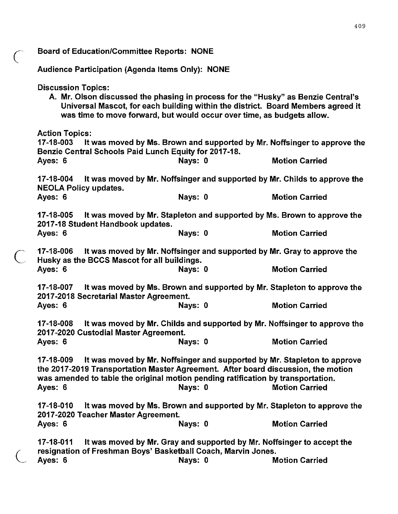| <b>Board of Education/Committee Reports: NONE</b>                                                                                                                                             |         |                                                                                                                                                                       |
|-----------------------------------------------------------------------------------------------------------------------------------------------------------------------------------------------|---------|-----------------------------------------------------------------------------------------------------------------------------------------------------------------------|
| Audience Participation (Agenda Items Only): NONE                                                                                                                                              |         |                                                                                                                                                                       |
| <b>Discussion Topics:</b><br>was time to move forward, but would occur over time, as budgets allow.                                                                                           |         | A. Mr. Olson discussed the phasing in process for the "Husky" as Benzie Central's<br>Universal Mascot, for each building within the district. Board Members agreed it |
| <b>Action Topics:</b><br>17-18-003<br>Benzie Central Schools Paid Lunch Equity for 2017-18.                                                                                                   |         | It was moved by Ms. Brown and supported by Mr. Noffsinger to approve the                                                                                              |
| Ayes: 6                                                                                                                                                                                       | Nays: 0 | <b>Motion Carried</b>                                                                                                                                                 |
| 17-18-004<br>It was moved by Mr. Noffsinger and supported by Mr. Childs to approve the<br><b>NEOLA Policy updates.</b>                                                                        |         |                                                                                                                                                                       |
| Ayes: 6                                                                                                                                                                                       | Nays: 0 | <b>Motion Carried</b>                                                                                                                                                 |
| 17-18-005<br>It was moved by Mr. Stapleton and supported by Ms. Brown to approve the<br>2017-18 Student Handbook updates.                                                                     |         |                                                                                                                                                                       |
| Ayes: 6                                                                                                                                                                                       | Nays: 0 | <b>Motion Carried</b>                                                                                                                                                 |
| 17-18-006<br>It was moved by Mr. Noffsinger and supported by Mr. Gray to approve the<br>Husky as the BCCS Mascot for all buildings.                                                           |         |                                                                                                                                                                       |
| Ayes: 6                                                                                                                                                                                       | Nays: 0 | <b>Motion Carried</b>                                                                                                                                                 |
| 17-18-007<br>It was moved by Ms. Brown and supported by Mr. Stapleton to approve the<br>2017-2018 Secretarial Master Agreement.                                                               |         |                                                                                                                                                                       |
| Ayes: 6                                                                                                                                                                                       | Nays: 0 | <b>Motion Carried</b>                                                                                                                                                 |
| It was moved by Mr. Childs and supported by Mr. Noffsinger to approve the<br>17-18-008<br>2017-2020 Custodial Master Agreement.                                                               |         |                                                                                                                                                                       |
| Ayes: 6                                                                                                                                                                                       | Nays: 0 | <b>Motion Carried</b>                                                                                                                                                 |
| 17-18-009<br>the 2017-2019 Transportation Master Agreement. After board discussion, the motion<br>was amended to table the original motion pending ratification by transportation.<br>Ayes: 6 | Nays: 0 | It was moved by Mr. Noffsinger and supported by Mr. Stapleton to approve<br><b>Motion Carried</b>                                                                     |
| 17-18-010<br>2017-2020 Teacher Master Agreement.                                                                                                                                              |         | It was moved by Ms. Brown and supported by Mr. Stapleton to approve the                                                                                               |
| Ayes: 6                                                                                                                                                                                       | Nays: 0 | <b>Motion Carried</b>                                                                                                                                                 |
| 17-18-011<br>resignation of Freshman Boys' Basketball Coach, Marvin Jones.                                                                                                                    |         | It was moved by Mr. Gray and supported by Mr. Noffsinger to accept the                                                                                                |
| Ayes: 6                                                                                                                                                                                       | Nays: 0 | <b>Motion Carried</b>                                                                                                                                                 |

409

*c* 

 $\overline{C}$ 

 $\overline{C}$